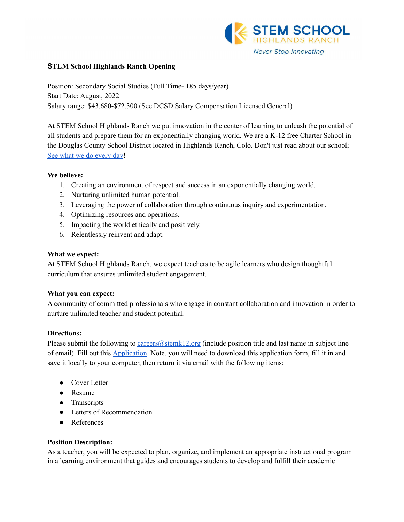

#### **STEM School Highlands Ranch Opening**

Position: Secondary Social Studies (Full Time- 185 days/year) Start Date: August, 2022 Salary range: \$43,680-\$72,300 (See DCSD Salary Compensation Licensed General)

At STEM School Highlands Ranch we put innovation in the center of learning to unleash the potential of all students and prepare them for an exponentially changing world. We are a K-12 free Charter School in the Douglas County School District located in Highlands Ranch, Colo. Don't just read about our school; See what we do [every](https://www.youtube.com/channel/UCEjas5mnML_7D6bnjE6cBXQ) day!

#### **We believe:**

- 1. Creating an environment of respect and success in an exponentially changing world.
- 2. Nurturing unlimited human potential.
- 3. Leveraging the power of collaboration through continuous inquiry and experimentation.
- 4. Optimizing resources and operations.
- 5. Impacting the world ethically and positively.
- 6. Relentlessly reinvent and adapt.

#### **What we expect:**

At STEM School Highlands Ranch, we expect teachers to be agile learners who design thoughtful curriculum that ensures unlimited student engagement.

## **What you can expect:**

A community of committed professionals who engage in constant collaboration and innovation in order to nurture unlimited teacher and student potential.

## **Directions:**

Please submit the following to [careers@stemk12.org](mailto:careers@stemk12.org) (include position title and last name in subject line of email). Fill out this [Application.](http://stemk12.org/wp-content/uploads/2020/07/STEM-School-Application.pdf) Note, you will need to download this application form, fill it in and save it locally to your computer, then return it via email with the following items:

- Cover Letter
- Resume
- Transcripts
- Letters of Recommendation
- References

## **Position Description:**

As a teacher, you will be expected to plan, organize, and implement an appropriate instructional program in a learning environment that guides and encourages students to develop and fulfill their academic